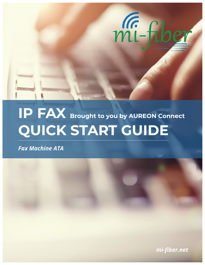

# **IP FAX Brought to you by AUREON Connect QUICK START GUIDE**

*Fax Machine ATA*